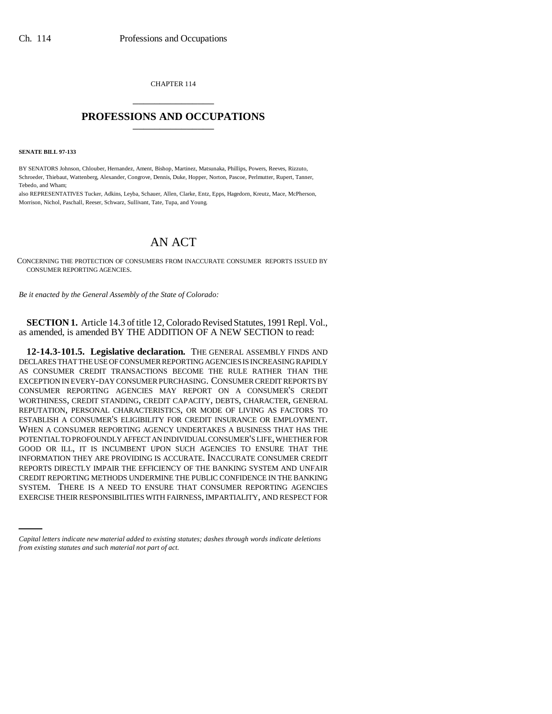CHAPTER 114 \_\_\_\_\_\_\_\_\_\_\_\_\_\_\_

## **PROFESSIONS AND OCCUPATIONS** \_\_\_\_\_\_\_\_\_\_\_\_\_\_\_

**SENATE BILL 97-133**

BY SENATORS Johnson, Chlouber, Hernandez, Ament, Bishop, Martinez, Matsunaka, Phillips, Powers, Reeves, Rizzuto, Schroeder, Thiebaut, Wattenberg, Alexander, Congrove, Dennis, Duke, Hopper, Norton, Pascoe, Perlmutter, Rupert, Tanner, Tebedo, and Wham;

also REPRESENTATIVES Tucker, Adkins, Leyba, Schauer, Allen, Clarke, Entz, Epps, Hagedorn, Kreutz, Mace, McPherson, Morrison, Nichol, Paschall, Reeser, Schwarz, Sullivant, Tate, Tupa, and Young.

## AN ACT

CONCERNING THE PROTECTION OF CONSUMERS FROM INACCURATE CONSUMER REPORTS ISSUED BY CONSUMER REPORTING AGENCIES.

*Be it enacted by the General Assembly of the State of Colorado:*

**SECTION 1.** Article 14.3 of title 12, Colorado Revised Statutes, 1991 Repl. Vol., as amended, is amended BY THE ADDITION OF A NEW SECTION to read:

SYSTEM. THERE IS A NEED TO ENSURE THAT CONSUMER REPORTING AGENCIES **12-14.3-101.5. Legislative declaration.** THE GENERAL ASSEMBLY FINDS AND DECLARES THAT THE USE OF CONSUMER REPORTING AGENCIES IS INCREASING RAPIDLY AS CONSUMER CREDIT TRANSACTIONS BECOME THE RULE RATHER THAN THE EXCEPTION IN EVERY-DAY CONSUMER PURCHASING. CONSUMER CREDIT REPORTS BY CONSUMER REPORTING AGENCIES MAY REPORT ON A CONSUMER'S CREDIT WORTHINESS, CREDIT STANDING, CREDIT CAPACITY, DEBTS, CHARACTER, GENERAL REPUTATION, PERSONAL CHARACTERISTICS, OR MODE OF LIVING AS FACTORS TO ESTABLISH A CONSUMER'S ELIGIBILITY FOR CREDIT INSURANCE OR EMPLOYMENT. WHEN A CONSUMER REPORTING AGENCY UNDERTAKES A BUSINESS THAT HAS THE POTENTIAL TO PROFOUNDLY AFFECT AN INDIVIDUAL CONSUMER'S LIFE, WHETHER FOR GOOD OR ILL, IT IS INCUMBENT UPON SUCH AGENCIES TO ENSURE THAT THE INFORMATION THEY ARE PROVIDING IS ACCURATE. INACCURATE CONSUMER CREDIT REPORTS DIRECTLY IMPAIR THE EFFICIENCY OF THE BANKING SYSTEM AND UNFAIR CREDIT REPORTING METHODS UNDERMINE THE PUBLIC CONFIDENCE IN THE BANKING EXERCISE THEIR RESPONSIBILITIES WITH FAIRNESS, IMPARTIALITY, AND RESPECT FOR

*Capital letters indicate new material added to existing statutes; dashes through words indicate deletions from existing statutes and such material not part of act.*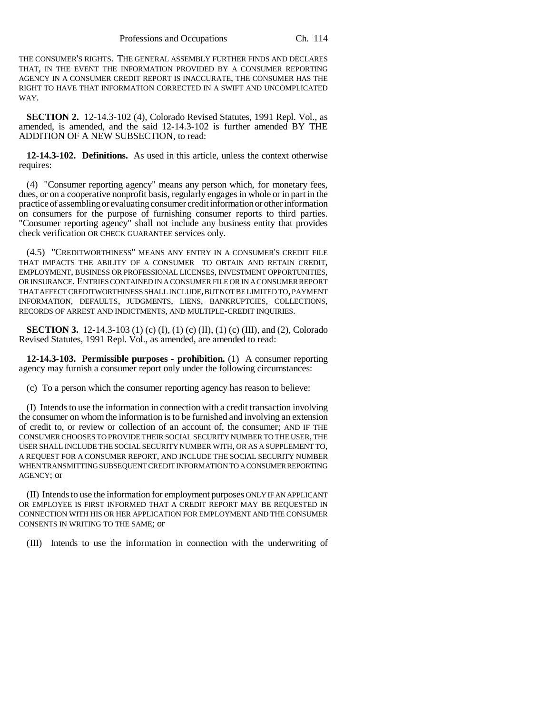THE CONSUMER'S RIGHTS. THE GENERAL ASSEMBLY FURTHER FINDS AND DECLARES THAT, IN THE EVENT THE INFORMATION PROVIDED BY A CONSUMER REPORTING AGENCY IN A CONSUMER CREDIT REPORT IS INACCURATE, THE CONSUMER HAS THE RIGHT TO HAVE THAT INFORMATION CORRECTED IN A SWIFT AND UNCOMPLICATED WAY.

**SECTION 2.** 12-14.3-102 (4), Colorado Revised Statutes, 1991 Repl. Vol., as amended, is amended, and the said 12-14.3-102 is further amended BY THE ADDITION OF A NEW SUBSECTION, to read:

**12-14.3-102. Definitions.** As used in this article, unless the context otherwise requires:

(4) "Consumer reporting agency" means any person which, for monetary fees, dues, or on a cooperative nonprofit basis, regularly engages in whole or in part in the practice of assembling or evaluating consumer credit information or other information on consumers for the purpose of furnishing consumer reports to third parties. "Consumer reporting agency" shall not include any business entity that provides check verification OR CHECK GUARANTEE services only.

(4.5) "CREDITWORTHINESS" MEANS ANY ENTRY IN A CONSUMER'S CREDIT FILE THAT IMPACTS THE ABILITY OF A CONSUMER TO OBTAIN AND RETAIN CREDIT, EMPLOYMENT, BUSINESS OR PROFESSIONAL LICENSES, INVESTMENT OPPORTUNITIES, OR INSURANCE. ENTRIES CONTAINED IN A CONSUMER FILE OR IN A CONSUMER REPORT THAT AFFECT CREDITWORTHINESS SHALL INCLUDE, BUT NOT BE LIMITED TO, PAYMENT INFORMATION, DEFAULTS, JUDGMENTS, LIENS, BANKRUPTCIES, COLLECTIONS, RECORDS OF ARREST AND INDICTMENTS, AND MULTIPLE-CREDIT INQUIRIES.

**SECTION 3.** 12-14.3-103 (1) (c) (I), (1) (c) (II), (1) (c) (III), and (2), Colorado Revised Statutes, 1991 Repl. Vol., as amended, are amended to read:

**12-14.3-103. Permissible purposes - prohibition.** (1) A consumer reporting agency may furnish a consumer report only under the following circumstances:

(c) To a person which the consumer reporting agency has reason to believe:

(I) Intends to use the information in connection with a credit transaction involving the consumer on whom the information is to be furnished and involving an extension of credit to, or review or collection of an account of, the consumer; AND IF THE CONSUMER CHOOSES TO PROVIDE THEIR SOCIAL SECURITY NUMBER TO THE USER, THE USER SHALL INCLUDE THE SOCIAL SECURITY NUMBER WITH, OR AS A SUPPLEMENT TO, A REQUEST FOR A CONSUMER REPORT, AND INCLUDE THE SOCIAL SECURITY NUMBER WHEN TRANSMITTING SUBSEQUENT CREDIT INFORMATION TO A CONSUMER REPORTING AGENCY; or

(II) Intends to use the information for employment purposes ONLY IF AN APPLICANT OR EMPLOYEE IS FIRST INFORMED THAT A CREDIT REPORT MAY BE REQUESTED IN CONNECTION WITH HIS OR HER APPLICATION FOR EMPLOYMENT AND THE CONSUMER CONSENTS IN WRITING TO THE SAME; or

(III) Intends to use the information in connection with the underwriting of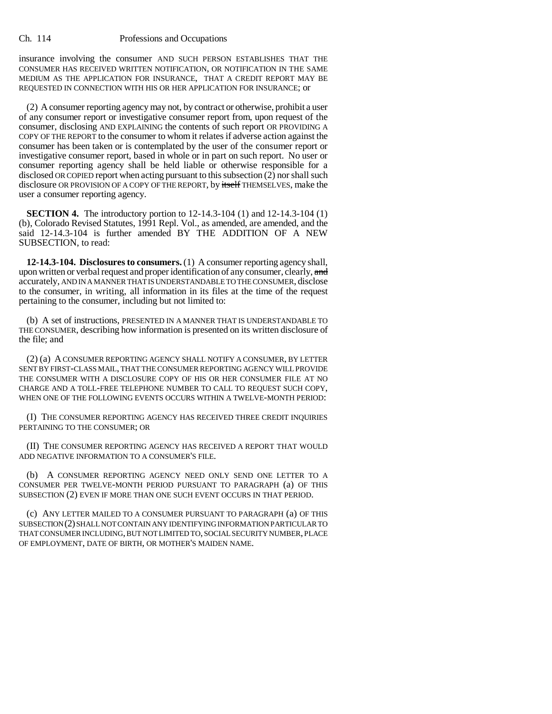insurance involving the consumer AND SUCH PERSON ESTABLISHES THAT THE CONSUMER HAS RECEIVED WRITTEN NOTIFICATION, OR NOTIFICATION IN THE SAME MEDIUM AS THE APPLICATION FOR INSURANCE, THAT A CREDIT REPORT MAY BE REQUESTED IN CONNECTION WITH HIS OR HER APPLICATION FOR INSURANCE; or

(2) A consumer reporting agency may not, by contract or otherwise, prohibit a user of any consumer report or investigative consumer report from, upon request of the consumer, disclosing AND EXPLAINING the contents of such report OR PROVIDING A COPY OF THE REPORT to the consumer to whom it relates if adverse action against the consumer has been taken or is contemplated by the user of the consumer report or investigative consumer report, based in whole or in part on such report. No user or consumer reporting agency shall be held liable or otherwise responsible for a disclosed OR COPIED report when acting pursuant to this subsection (2) nor shall such disclosure OR PROVISION OF A COPY OF THE REPORT, by itself THEMSELVES, make the user a consumer reporting agency.

**SECTION 4.** The introductory portion to 12-14.3-104 (1) and 12-14.3-104 (1) (b), Colorado Revised Statutes, 1991 Repl. Vol., as amended, are amended, and the said 12-14.3-104 is further amended BY THE ADDITION OF A NEW SUBSECTION, to read:

**12-14.3-104. Disclosures to consumers.** (1) A consumer reporting agency shall, upon written or verbal request and proper identification of any consumer, clearly, and accurately, AND IN A MANNER THAT IS UNDERSTANDABLE TO THE CONSUMER, disclose to the consumer, in writing, all information in its files at the time of the request pertaining to the consumer, including but not limited to:

(b) A set of instructions, PRESENTED IN A MANNER THAT IS UNDERSTANDABLE TO THE CONSUMER, describing how information is presented on its written disclosure of the file; and

(2) (a) A CONSUMER REPORTING AGENCY SHALL NOTIFY A CONSUMER, BY LETTER SENT BY FIRST-CLASS MAIL, THAT THE CONSUMER REPORTING AGENCY WILL PROVIDE THE CONSUMER WITH A DISCLOSURE COPY OF HIS OR HER CONSUMER FILE AT NO CHARGE AND A TOLL-FREE TELEPHONE NUMBER TO CALL TO REQUEST SUCH COPY, WHEN ONE OF THE FOLLOWING EVENTS OCCURS WITHIN A TWELVE-MONTH PERIOD:

(I) THE CONSUMER REPORTING AGENCY HAS RECEIVED THREE CREDIT INQUIRIES PERTAINING TO THE CONSUMER; OR

(II) THE CONSUMER REPORTING AGENCY HAS RECEIVED A REPORT THAT WOULD ADD NEGATIVE INFORMATION TO A CONSUMER'S FILE.

(b) A CONSUMER REPORTING AGENCY NEED ONLY SEND ONE LETTER TO A CONSUMER PER TWELVE-MONTH PERIOD PURSUANT TO PARAGRAPH (a) OF THIS SUBSECTION (2) EVEN IF MORE THAN ONE SUCH EVENT OCCURS IN THAT PERIOD.

(c) ANY LETTER MAILED TO A CONSUMER PURSUANT TO PARAGRAPH (a) OF THIS SUBSECTION (2) SHALL NOT CONTAIN ANY IDENTIFYING INFORMATION PARTICULAR TO THAT CONSUMER INCLUDING, BUT NOT LIMITED TO, SOCIAL SECURITY NUMBER, PLACE OF EMPLOYMENT, DATE OF BIRTH, OR MOTHER'S MAIDEN NAME.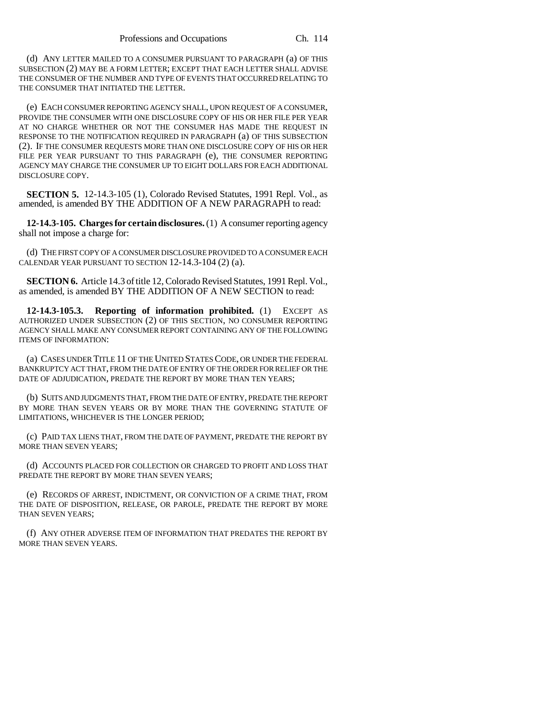(d) ANY LETTER MAILED TO A CONSUMER PURSUANT TO PARAGRAPH (a) OF THIS SUBSECTION (2) MAY BE A FORM LETTER; EXCEPT THAT EACH LETTER SHALL ADVISE THE CONSUMER OF THE NUMBER AND TYPE OF EVENTS THAT OCCURRED RELATING TO THE CONSUMER THAT INITIATED THE LETTER.

(e) EACH CONSUMER REPORTING AGENCY SHALL, UPON REQUEST OF A CONSUMER, PROVIDE THE CONSUMER WITH ONE DISCLOSURE COPY OF HIS OR HER FILE PER YEAR AT NO CHARGE WHETHER OR NOT THE CONSUMER HAS MADE THE REQUEST IN RESPONSE TO THE NOTIFICATION REQUIRED IN PARAGRAPH (a) OF THIS SUBSECTION (2). IF THE CONSUMER REQUESTS MORE THAN ONE DISCLOSURE COPY OF HIS OR HER FILE PER YEAR PURSUANT TO THIS PARAGRAPH (e), THE CONSUMER REPORTING AGENCY MAY CHARGE THE CONSUMER UP TO EIGHT DOLLARS FOR EACH ADDITIONAL DISCLOSURE COPY.

**SECTION 5.** 12-14.3-105 (1), Colorado Revised Statutes, 1991 Repl. Vol., as amended, is amended BY THE ADDITION OF A NEW PARAGRAPH to read:

**12-14.3-105. Charges for certain disclosures.** (1) A consumer reporting agency shall not impose a charge for:

(d) THE FIRST COPY OF A CONSUMER DISCLOSURE PROVIDED TO A CONSUMER EACH CALENDAR YEAR PURSUANT TO SECTION 12-14.3-104 (2) (a).

**SECTION 6.** Article 14.3 of title 12, Colorado Revised Statutes, 1991 Repl. Vol., as amended, is amended BY THE ADDITION OF A NEW SECTION to read:

**12-14.3-105.3. Reporting of information prohibited.** (1) EXCEPT AS AUTHORIZED UNDER SUBSECTION (2) OF THIS SECTION, NO CONSUMER REPORTING AGENCY SHALL MAKE ANY CONSUMER REPORT CONTAINING ANY OF THE FOLLOWING ITEMS OF INFORMATION:

(a) CASES UNDER TITLE 11 OF THE UNITED STATES CODE, OR UNDER THE FEDERAL BANKRUPTCY ACT THAT, FROM THE DATE OF ENTRY OF THE ORDER FOR RELIEF OR THE DATE OF ADJUDICATION, PREDATE THE REPORT BY MORE THAN TEN YEARS;

(b) SUITS AND JUDGMENTS THAT, FROM THE DATE OF ENTRY, PREDATE THE REPORT BY MORE THAN SEVEN YEARS OR BY MORE THAN THE GOVERNING STATUTE OF LIMITATIONS, WHICHEVER IS THE LONGER PERIOD;

(c) PAID TAX LIENS THAT, FROM THE DATE OF PAYMENT, PREDATE THE REPORT BY MORE THAN SEVEN YEARS;

(d) ACCOUNTS PLACED FOR COLLECTION OR CHARGED TO PROFIT AND LOSS THAT PREDATE THE REPORT BY MORE THAN SEVEN YEARS;

(e) RECORDS OF ARREST, INDICTMENT, OR CONVICTION OF A CRIME THAT, FROM THE DATE OF DISPOSITION, RELEASE, OR PAROLE, PREDATE THE REPORT BY MORE THAN SEVEN YEARS;

(f) ANY OTHER ADVERSE ITEM OF INFORMATION THAT PREDATES THE REPORT BY MORE THAN SEVEN YEARS.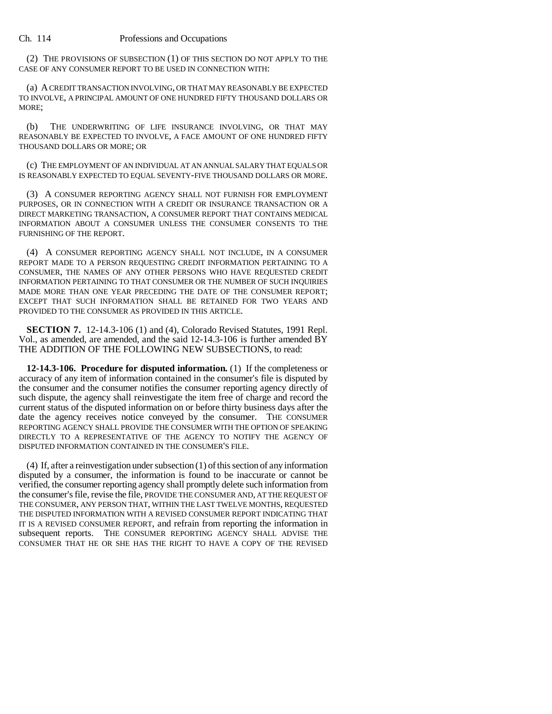(2) THE PROVISIONS OF SUBSECTION (1) OF THIS SECTION DO NOT APPLY TO THE CASE OF ANY CONSUMER REPORT TO BE USED IN CONNECTION WITH:

(a) A CREDIT TRANSACTION INVOLVING, OR THAT MAY REASONABLY BE EXPECTED TO INVOLVE, A PRINCIPAL AMOUNT OF ONE HUNDRED FIFTY THOUSAND DOLLARS OR MORE;

(b) THE UNDERWRITING OF LIFE INSURANCE INVOLVING, OR THAT MAY REASONABLY BE EXPECTED TO INVOLVE, A FACE AMOUNT OF ONE HUNDRED FIFTY THOUSAND DOLLARS OR MORE; OR

(c) THE EMPLOYMENT OF AN INDIVIDUAL AT AN ANNUAL SALARY THAT EQUALS OR IS REASONABLY EXPECTED TO EQUAL SEVENTY-FIVE THOUSAND DOLLARS OR MORE.

(3) A CONSUMER REPORTING AGENCY SHALL NOT FURNISH FOR EMPLOYMENT PURPOSES, OR IN CONNECTION WITH A CREDIT OR INSURANCE TRANSACTION OR A DIRECT MARKETING TRANSACTION, A CONSUMER REPORT THAT CONTAINS MEDICAL INFORMATION ABOUT A CONSUMER UNLESS THE CONSUMER CONSENTS TO THE FURNISHING OF THE REPORT.

(4) A CONSUMER REPORTING AGENCY SHALL NOT INCLUDE, IN A CONSUMER REPORT MADE TO A PERSON REQUESTING CREDIT INFORMATION PERTAINING TO A CONSUMER, THE NAMES OF ANY OTHER PERSONS WHO HAVE REQUESTED CREDIT INFORMATION PERTAINING TO THAT CONSUMER OR THE NUMBER OF SUCH INQUIRIES MADE MORE THAN ONE YEAR PRECEDING THE DATE OF THE CONSUMER REPORT; EXCEPT THAT SUCH INFORMATION SHALL BE RETAINED FOR TWO YEARS AND PROVIDED TO THE CONSUMER AS PROVIDED IN THIS ARTICLE.

**SECTION 7.** 12-14.3-106 (1) and (4), Colorado Revised Statutes, 1991 Repl. Vol., as amended, are amended, and the said 12-14.3-106 is further amended BY THE ADDITION OF THE FOLLOWING NEW SUBSECTIONS, to read:

**12-14.3-106. Procedure for disputed information.** (1) If the completeness or accuracy of any item of information contained in the consumer's file is disputed by the consumer and the consumer notifies the consumer reporting agency directly of such dispute, the agency shall reinvestigate the item free of charge and record the current status of the disputed information on or before thirty business days after the date the agency receives notice conveyed by the consumer. THE CONSUMER REPORTING AGENCY SHALL PROVIDE THE CONSUMER WITH THE OPTION OF SPEAKING DIRECTLY TO A REPRESENTATIVE OF THE AGENCY TO NOTIFY THE AGENCY OF DISPUTED INFORMATION CONTAINED IN THE CONSUMER'S FILE.

(4) If, after a reinvestigation under subsection (1) of this section of any information disputed by a consumer, the information is found to be inaccurate or cannot be verified, the consumer reporting agency shall promptly delete such information from the consumer's file, revise the file, PROVIDE THE CONSUMER AND, AT THE REQUEST OF THE CONSUMER, ANY PERSON THAT, WITHIN THE LAST TWELVE MONTHS, REQUESTED THE DISPUTED INFORMATION WITH A REVISED CONSUMER REPORT INDICATING THAT IT IS A REVISED CONSUMER REPORT, and refrain from reporting the information in subsequent reports. THE CONSUMER REPORTING AGENCY SHALL ADVISE THE CONSUMER THAT HE OR SHE HAS THE RIGHT TO HAVE A COPY OF THE REVISED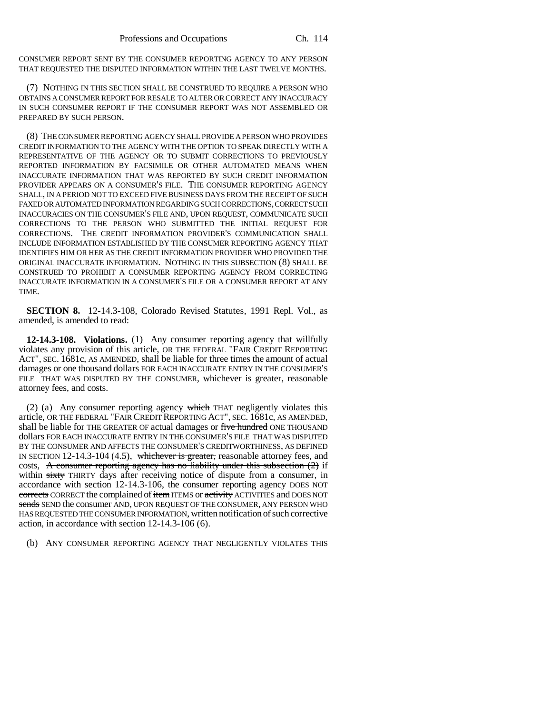CONSUMER REPORT SENT BY THE CONSUMER REPORTING AGENCY TO ANY PERSON THAT REQUESTED THE DISPUTED INFORMATION WITHIN THE LAST TWELVE MONTHS.

(7) NOTHING IN THIS SECTION SHALL BE CONSTRUED TO REQUIRE A PERSON WHO OBTAINS A CONSUMER REPORT FOR RESALE TO ALTER OR CORRECT ANY INACCURACY IN SUCH CONSUMER REPORT IF THE CONSUMER REPORT WAS NOT ASSEMBLED OR PREPARED BY SUCH PERSON.

(8) THE CONSUMER REPORTING AGENCY SHALL PROVIDE A PERSON WHO PROVIDES CREDIT INFORMATION TO THE AGENCY WITH THE OPTION TO SPEAK DIRECTLY WITH A REPRESENTATIVE OF THE AGENCY OR TO SUBMIT CORRECTIONS TO PREVIOUSLY REPORTED INFORMATION BY FACSIMILE OR OTHER AUTOMATED MEANS WHEN INACCURATE INFORMATION THAT WAS REPORTED BY SUCH CREDIT INFORMATION PROVIDER APPEARS ON A CONSUMER'S FILE. THE CONSUMER REPORTING AGENCY SHALL, IN A PERIOD NOT TO EXCEED FIVE BUSINESS DAYS FROM THE RECEIPT OF SUCH FAXED OR AUTOMATED INFORMATION REGARDING SUCH CORRECTIONS, CORRECT SUCH INACCURACIES ON THE CONSUMER'S FILE AND, UPON REQUEST, COMMUNICATE SUCH CORRECTIONS TO THE PERSON WHO SUBMITTED THE INITIAL REQUEST FOR CORRECTIONS. THE CREDIT INFORMATION PROVIDER'S COMMUNICATION SHALL INCLUDE INFORMATION ESTABLISHED BY THE CONSUMER REPORTING AGENCY THAT IDENTIFIES HIM OR HER AS THE CREDIT INFORMATION PROVIDER WHO PROVIDED THE ORIGINAL INACCURATE INFORMATION. NOTHING IN THIS SUBSECTION (8) SHALL BE CONSTRUED TO PROHIBIT A CONSUMER REPORTING AGENCY FROM CORRECTING INACCURATE INFORMATION IN A CONSUMER'S FILE OR A CONSUMER REPORT AT ANY TIME.

**SECTION 8.** 12-14.3-108, Colorado Revised Statutes, 1991 Repl. Vol., as amended, is amended to read:

**12-14.3-108. Violations.** (1) Any consumer reporting agency that willfully violates any provision of this article, OR THE FEDERAL "FAIR CREDIT REPORTING ACT", SEC. 1681c, AS AMENDED, shall be liable for three times the amount of actual damages or one thousand dollars FOR EACH INACCURATE ENTRY IN THE CONSUMER'S FILE THAT WAS DISPUTED BY THE CONSUMER, whichever is greater, reasonable attorney fees, and costs.

(2) (a) Any consumer reporting agency which THAT negligently violates this article, OR THE FEDERAL "FAIR CREDIT REPORTING ACT", SEC. 1681c, AS AMENDED, shall be liable for THE GREATER OF actual damages or five hundred ONE THOUSAND dollars FOR EACH INACCURATE ENTRY IN THE CONSUMER'S FILE THAT WAS DISPUTED BY THE CONSUMER AND AFFECTS THE CONSUMER'S CREDITWORTHINESS, AS DEFINED IN SECTION 12-14.3-104 (4.5), whichever is greater, reasonable attorney fees, and costs, A consumer reporting agency has no liability under this subsection  $(2)$  if within sixty THIRTY days after receiving notice of dispute from a consumer, in accordance with section 12-14.3-106, the consumer reporting agency DOES NOT corrects CORRECT the complained of item ITEMS or activity ACTIVITIES and DOES NOT sends SEND the consumer AND, UPON REQUEST OF THE CONSUMER, ANY PERSON WHO HAS REQUESTED THE CONSUMER INFORMATION, written notification of such corrective action, in accordance with section 12-14.3-106 (6).

(b) ANY CONSUMER REPORTING AGENCY THAT NEGLIGENTLY VIOLATES THIS